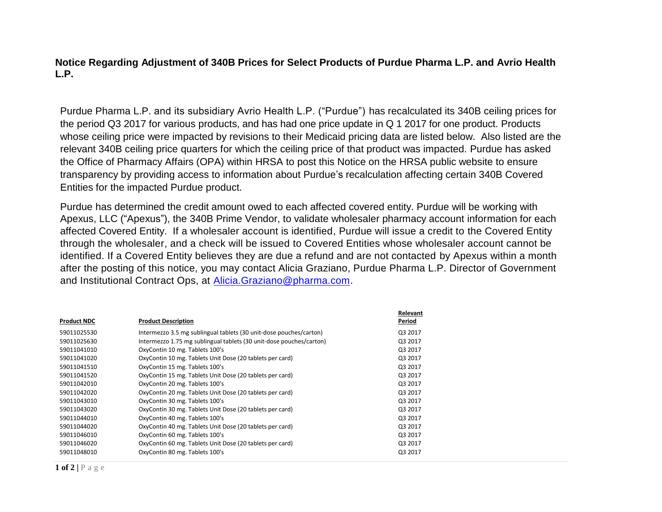**Notice Regarding Adjustment of 340B Prices for Select Products of Purdue Pharma L.P. and Avrio Health L.P.**

Purdue Pharma L.P. and its subsidiary Avrio Health L.P. ("Purdue") has recalculated its 340B ceiling prices for the period Q3 2017 for various products, and has had one price update in Q 1 2017 for one product. Products whose ceiling price were impacted by revisions to their Medicaid pricing data are listed below. Also listed are the relevant 340B ceiling price quarters for which the ceiling price of that product was impacted. Purdue has asked the Office of Pharmacy Affairs (OPA) within HRSA to post this Notice on the HRSA public website to ensure transparency by providing access to information about Purdue's recalculation affecting certain 340B Covered Entities for the impacted Purdue product.

Purdue has determined the credit amount owed to each affected covered entity. Purdue will be working with Apexus, LLC ("Apexus"), the 340B Prime Vendor, to validate wholesaler pharmacy account information for each affected Covered Entity. If a wholesaler account is identified, Purdue will issue a credit to the Covered Entity through the wholesaler, and a check will be issued to Covered Entities whose wholesaler account cannot be identified. If a Covered Entity believes they are due a refund and are not contacted by Apexus within a month after the posting of this notice, you may contact Alicia Graziano, Purdue Pharma L.P. Director of Government and Institutional Contract Ops, at [Alicia.Graziano@pharma.com.](mailto:Alicia.Graziano@pharma.com)

|                    |                                                                     | Relevant |
|--------------------|---------------------------------------------------------------------|----------|
| <b>Product NDC</b> | <b>Product Description</b>                                          | Period   |
| 59011025530        | Intermezzo 3.5 mg sublingual tablets (30 unit-dose pouches/carton)  | Q3 2017  |
| 59011025630        | Intermezzo 1.75 mg sublingual tablets (30 unit-dose pouches/carton) | Q3 2017  |
| 59011041010        | OxyContin 10 mg. Tablets 100's                                      | Q3 2017  |
| 59011041020        | OxyContin 10 mg. Tablets Unit Dose (20 tablets per card)            | Q3 2017  |
| 59011041510        | OxyContin 15 mg. Tablets 100's                                      | Q3 2017  |
| 59011041520        | OxyContin 15 mg. Tablets Unit Dose (20 tablets per card)            | Q3 2017  |
| 59011042010        | OxyContin 20 mg. Tablets 100's                                      | Q3 2017  |
| 59011042020        | OxyContin 20 mg. Tablets Unit Dose (20 tablets per card)            | Q3 2017  |
| 59011043010        | OxyContin 30 mg. Tablets 100's                                      | Q3 2017  |
| 59011043020        | OxyContin 30 mg. Tablets Unit Dose (20 tablets per card)            | Q3 2017  |
| 59011044010        | OxyContin 40 mg. Tablets 100's                                      | Q3 2017  |
| 59011044020        | OxyContin 40 mg. Tablets Unit Dose (20 tablets per card)            | Q3 2017  |
| 59011046010        | OxyContin 60 mg. Tablets 100's                                      | Q3 2017  |
| 59011046020        | OxyContin 60 mg. Tablets Unit Dose (20 tablets per card)            | Q3 2017  |
| 59011048010        | OxyContin 80 mg. Tablets 100's                                      | Q3 2017  |
|                    |                                                                     |          |